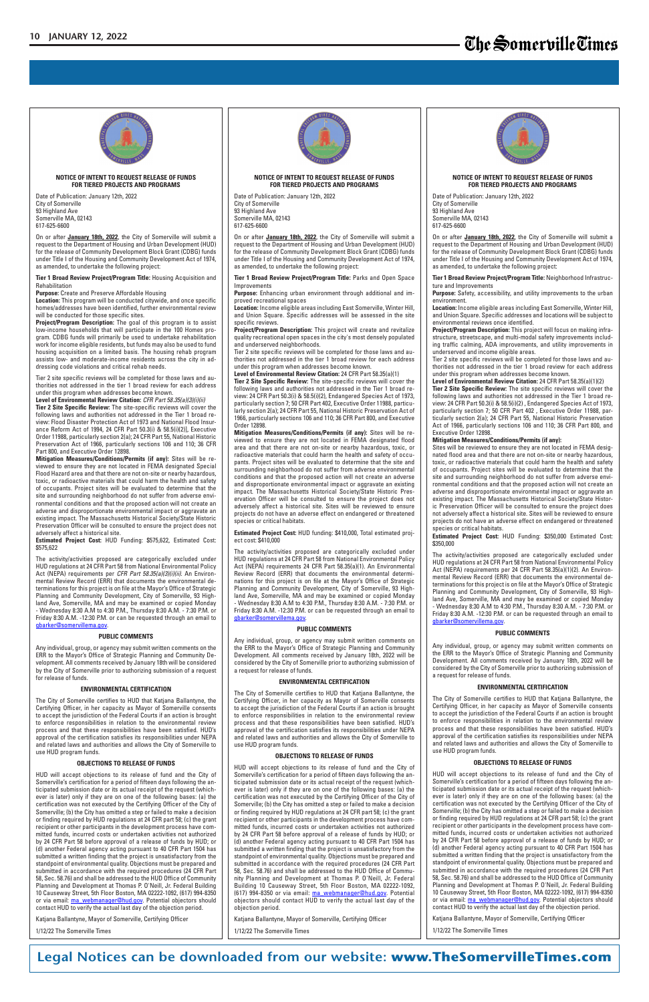# **Legal Notices can be downloaded from our website: www.TheSomervilleTimes.com**



#### **NOTICE OF INTENT TO REQUEST RELEASE OF FUNDS FOR TIERED PROJECTS AND PROGRAMS**

Date of Publication: January 12th, 2022 City of Somerville 93 Highland Ave Somerville MA, 02143 617-625-6600

On or after **January 18th, 2022**, the City of Somerville will submit a request to the Department of Housing and Urban Development (HUD) for the release of Community Development Block Grant (CDBG) funds under Title I of the Housing and Community Development Act of 1974, as amended, to undertake the following project:

**Tier 1 Broad Review Project/Program Title:** Housing Acquisition and Rehabilitation

**Purpose:** Create and Preserve Affordable Housing

**Location:** This program will be conducted citywide, and once specific homes/addresses have been identified, further environmental review will be conducted for those specific sites.

**Project/Program Description:** The goal of this program is to assist low-income households that will participate in the 100 Homes program. CDBG funds will primarily be used to undertake rehabilitation work for income eligible residents, but funds may also be used to fund housing acquisition on a limited basis. The housing rehab program assists low- and moderate-income residents across the city in addressing code violations and critical rehab needs.

Tier 2 site specific reviews will be completed for those laws and authorities not addressed in the tier 1 broad review for each address under this program when addresses become known.

**Level of Environmental Review Citation:** *CFR Part 58.35(a)(3)(i)(ii)* **Tier 2 Site Specific Review:** The site-specific reviews will cover the following laws and authorities not addressed in the Tier 1 broad review: Flood Disaster Protection Act of 1973 and National Flood Insurance Reform Act of 1994, 24 CFR Part 50.3(i) & 58.5(i)(2)], Executive Order 11988, particularly section 2(a); 24 CFR Part 55, National Historic Preservation Act of 1966, particularly sections 106 and 110; 36 CFR Part 800, and Executive Order 12898.

**Mitigation Measures/Conditions/Permits (if any):** Sites will be reviewed to ensure they are not located in FEMA designated Special Flood Hazard area and that there are not on-site or nearby hazardous, toxic, or radioactive materials that could harm the health and safety of occupants. Project sites will be evaluated to determine that the site and surrounding neighborhood do not suffer from adverse environmental conditions and that the proposed action will not create an adverse and disproportionate environmental impact or aggravate an existing impact. The Massachusetts Historical Society/State Historic Preservation Officer will be consulted to ensure the project does not adversely affect a historical site.

**Estimated Project Cost:** HUD Funding: \$575,622, Estimated Cost: \$575,622

The activity/activities proposed are categorically excluded under HUD regulations at 24 CFR Part 58 from National Environmental Policy Act (NEPA) requirements per *CFR Part 58.35(a)(3)(i)(ii)*. An Environmental Review Record (ERR) that documents the environmental determinations for this project is on file at the Mayor's Office of Strategic Planning and Community Development, City of Somerville, 93 Highland Ave, Somerville, MA and may be examined or copied Monday - Wednesday 8:30 A.M to 4:30 P.M., Thursday 8:30 A.M. - 7:30 P.M. or Friday 8:30 A.M. -12:30 P.M. or can be requested through an email to gbarker@somervillema.gov.

**Location:** Income eligible areas including East Somerville, Winter Hill, and Union Square. Specific addresses will be assessed in the site specific reviews.

#### **PUBLIC COMMENTS**

Any individual, group, or agency may submit written comments on the ERR to the Mayor's Office of Strategic Planning and Community Development. All comments received by January 18th will be considered by the City of Somerville prior to authorizing submission of a request for release of funds.

#### **ENVIRONMENTAL CERTIFICATION**

The City of Somerville certifies to HUD that Katjana Ballantyne, the Certifying Officer, in her capacity as Mayor of Somerville consents to accept the jurisdiction of the Federal Courts if an action is brought to enforce responsibilities in relation to the environmental review process and that these responsibilities have been satisfied. HUD's approval of the certification satisfies its responsibilities under NEPA and related laws and authorities and allows the City of Somerville to use HUD program funds.



The activity/activities proposed are categorically excluded under HUD regulations at 24 CFR Part 58 from National Environmental Policy Act (NEPA) requirements 24 CFR Part 58.35(a)(1). An Environmental Review Record (ERR) that documents the environmental determinations for this project is on file at the Mayor's Office of Strategic Planning and Community Development, City of Somerville, 93 Highland Ave, Somerville, MA and may be examined or copied Monday - Wednesday 8:30 A.M to 4:30 P.M., Thursday 8:30 A.M. - 7:30 P.M. or Friday 8:30 A.M. -12:30 P.M. or can be requested through an email to gbarker@somervillema.go

### **OBJECTIONS TO RELEASE OF FUNDS**

HUD will accept objections to its release of fund and the City of Somerville's certification for a period of fifteen days following the anticipated submission date or its actual receipt of the request (whichever is later) only if they are on one of the following bases: (a) the certification was not executed by the Certifying Officer of the City of Somerville; (b) the City has omitted a step or failed to make a decision or finding required by HUD regulations at 24 CFR part 58; (c) the grant recipient or other participants in the development process have committed funds, incurred costs or undertaken activities not authorized by 24 CFR Part 58 before approval of a release of funds by HUD; or (d) another Federal agency acting pursuant to 40 CFR Part 1504 has submitted a written finding that the project is unsatisfactory from the standpoint of environmental quality. Objections must be prepared and submitted in accordance with the required procedures (24 CFR Part 58, Sec. 58.76) and shall be addressed to the HUD Office of Community Planning and Development at Thomas P. O'Neill, Jr. Federal Building 10 Causeway Street, 5th Floor Boston, MA 02222-1092, (617) 994-8350 or via email: ma\_webmanager@hud.gov. Potential objectors should contact HUD to verify the actual last day of the objection period.

Katjana Ballantyne, Mayor of Somerville, Certifying Officer

1/12/22 The Somerville Times

#### **NOTICE OF INTENT TO REQUEST RELEASE OF FUNDS FOR TIERED PROJECTS AND PROGRAMS**

Date of Publication: January 12th, 2022 City of Somerville 93 Highland Ave Somerville MA, 02143 617-625-6600

On or after **January 18th, 2022**, the City of Somerville will submit a request to the Department of Housing and Urban Development (HUD) for the release of Community Development Block Grant (CDBG) funds under Title I of the Housing and Community Development Act of 1974, as amended, to undertake the following project:

**Tier 1 Broad Review Project/Program Title:** Parks and Open Space Improvements

**Purpose:** Enhancing urban environment through additional and improved recreational spaces

**Project/Program Description:** This project will create and revitalize quality recreational open spaces in the city's most densely populated and underserved neighborhoods.

Tier 2 site specific reviews will be completed for those laws and authorities not addressed in the tier 1 broad review for each address under this program when addresses become known.

**Level of Environmental Review Citation:** 24 CFR Part 58.35(a)(1)

**Tier 2 Site Specific Review:** The site-specific reviews will cover the following laws and authorities not addressed in the Tier 1 broad review: 24 CFR Part 50.3(i) & 58.5(i)(2), Endangered Species Act of 1973, particularly section 7; 50 CFR Part 402, Executive Order 11988, particularly section 2(a); 24 CFR Part 55, National Historic Preservation Act of 1966, particularly sections 106 and 110; 36 CFR Part 800, and Executive Order 12898.

**Mitigation Measures/Conditions/Permits (if any):** Sites will be reviewed to ensure they are not located in FEMA designated flood area and that there are not on-site or nearby hazardous, toxic, or radioactive materials that could harm the health and safety of occupants. Project sites will be evaluated to determine that the site and surrounding neighborhood do not suffer from adverse environmental conditions and that the proposed action will not create an adverse and disproportionate environmental impact or aggravate an existing impact. The Massachusetts Historical Society/State Historic Preservation Officer will be consulted to ensure the project does not adversely affect a historical site. Sites will be reviewed to ensure projects do not have an adverse effect on endangered or threatened species or critical habitats.

**Estimated Project Cost:** HUD funding: \$410,000, Total estimated project cost: \$410,000

#### **PUBLIC COMMENTS**

Any individual, group, or agency may submit written comments on the ERR to the Mayor's Office of Strategic Planning and Community Development. All comments received by January 18th, 2022 will be considered by the City of Somerville prior to authorizing submission of a request for release of funds.

#### **ENVIRONMENTAL CERTIFICATION**

The City of Somerville certifies to HUD that Katjana Ballantyne, the Certifying Officer, in her capacity as Mayor of Somerville consents to accept the jurisdiction of the Federal Courts if an action is brought to enforce responsibilities in relation to the environmental review process and that these responsibilities have been satisfied. HUD's approval of the certification satisfies its responsibilities under NEPA



and related laws and authorities and allows the City of Somerville to use HUD program funds.

#### **OBJECTIONS TO RELEASE OF FUNDS**

HUD will accept objections to its release of fund and the City of Somerville's certification for a period of fifteen days following the anticipated submission date or its actual receipt of the request (whichever is later) only if they are on one of the following bases: (a) the certification was not executed by the Certifying Officer of the City of Somerville; (b) the City has omitted a step or failed to make a decision or finding required by HUD regulations at 24 CFR part 58; (c) the grant recipient or other participants in the development process have committed funds, incurred costs or undertaken activities not authorized by 24 CFR Part 58 before approval of a release of funds by HUD; or (d) another Federal agency acting pursuant to 40 CFR Part 1504 has submitted a written finding that the project is unsatisfactory from the standpoint of environmental quality. Objections must be prepared and submitted in accordance with the required procedures (24 CFR Part 58, Sec. 58.76) and shall be addressed to the HUD Office of Community Planning and Development at Thomas P. O'Neill, Jr. Federal Building 10 Causeway Street, 5th Floor Boston, MA 02222-1092, (617) 994-8350 or via email: ma\_webmanager@hud.gov. Potential objectors should contact HUD to verify the actual last day of the objection period.

Katjana Ballantyne, Mayor of Somerville, Certifying Officer

1/12/22 The Somerville Times

#### **NOTICE OF INTENT TO REQUEST RELEASE OF FUNDS FOR TIERED PROJECTS AND PROGRAMS**

Date of Publication: January 12th, 2022 City of Somerville 93 Highland Ave Somerville MA, 02143 617-625-6600

On or after **January 18th, 2022**, the City of Somerville will submit a request to the Department of Housing and Urban Development (HUD) for the release of Community Development Block Grant (CDBG) funds under Title I of the Housing and Community Development Act of 1974, as amended, to undertake the following project:

**Tier 1 Broad Review Project/Program Title:** Neighborhood Infrastructure and Improvements

**Purpose:** Safety, accessibility, and utility improvements to the urban environment.

**Location:** Income eligible areas including East Somerville, Winter Hill, and Union Square. Specific addresses and locations will be subject to environmental reviews once identified.

**Project/Program Description:** This project will focus on making infrastructure, streetscape, and multi‐modal safety improvements including traffic calming, ADA improvements, and utility improvements in underserved and income eligible areas.

Tier 2 site specific reviews will be completed for those laws and authorities not addressed in the tier 1 broad review for each address under this program when addresses become known.

**Level of Environmental Review Citation:** 24 CFR Part 58.35(a)(1)(2) **Tier 2 Site Specific Review:** The site specific reviews will cover the

following laws and authorities not addressed in the Tier 1 broad review: 24 CFR Part 50.3(i) & 58.5(i)(2) , Endangered Species Act of 1973, particularly section 7; 50 CFR Part 402 , Executive Order 11988, particularly section 2(a); 24 CFR Part 55, National Historic Preservation Act of 1966, particularly sections 106 and 110; 36 CFR Part 800, and Executive Order 12898.

#### **Mitigation Measures/Conditions/Permits (if any):**

Sites will be reviewed to ensure they are not located in FEMA designated flood area and that there are not on-site or nearby hazardous, toxic, or radioactive materials that could harm the health and safety of occupants. Project sites will be evaluated to determine that the site and surrounding neighborhood do not suffer from adverse environmental conditions and that the proposed action will not create an adverse and disproportionate environmental impact or aggravate an existing impact. The Massachusetts Historical Society/State Historic Preservation Officer will be consulted to ensure the project does not adversely affect a historical site. Sites will be reviewed to ensure projects do not have an adverse effect on endangered or threatened species or critical habitats.

**Estimated Project Cost:** HUD Funding: \$350,000 Estimated Cost: \$350,000

The activity/activities proposed are categorically excluded under HUD regulations at 24 CFR Part 58 from National Environmental Policy Act (NEPA) requirements per 24 CFR Part 58.35(a)(1)(2). An Environmental Review Record (ERR) that documents the environmental determinations for this project is on file at the Mayor's Office of Strategic Planning and Community Development, City of Somerville, 93 Highland Ave, Somerville, MA and may be examined or copied Monday - Wednesday 8:30 A.M to 4:30 P.M., Thursday 8:30 A.M. - 7:30 P.M. or Friday 8:30 A.M. -12:30 P.M. or can be requested through an email to gbarker@somervillema.gov.

#### **PUBLIC COMMENTS**

Any individual, group, or agency may submit written comments on the ERR to the Mayor's Office of Strategic Planning and Community Development. All comments received by January 18th, 2022 will be considered by the City of Somerville prior to authorizing submission of a request for release of funds.

#### **ENVIRONMENTAL CERTIFICATION**

The City of Somerville certifies to HUD that Katjana Ballantyne, the Certifying Officer, in her capacity as Mayor of Somerville consents to accept the jurisdiction of the Federal Courts if an action is brought to enforce responsibilities in relation to the environmental review process and that these responsibilities have been satisfied. HUD's approval of the certification satisfies its responsibilities under NEPA and related laws and authorities and allows the City of Somerville to use HUD program funds.

#### **OBJECTIONS TO RELEASE OF FUNDS**

HUD will accept objections to its release of fund and the City of Somerville's certification for a period of fifteen days following the anticipated submission date or its actual receipt of the request (whichever is later) only if they are on one of the following bases: (a) the certification was not executed by the Certifying Officer of the City of Somerville; (b) the City has omitted a step or failed to make a decision or finding required by HUD regulations at 24 CFR part 58; (c) the grant recipient or other participants in the development process have committed funds, incurred costs or undertaken activities not authorized by 24 CFR Part 58 before approval of a release of funds by HUD; or (d) another Federal agency acting pursuant to 40 CFR Part 1504 has submitted a written finding that the project is unsatisfactory from the standpoint of environmental quality. Objections must be prepared and submitted in accordance with the required procedures (24 CFR Part 58, Sec. 58.76) and shall be addressed to the HUD Office of Community Planning and Development at Thomas P. O'Neill, Jr. Federal Building 10 Causeway Street, 5th Floor Boston, MA 02222-1092, (617) 994-8350 or via email: ma\_webmanager@hud.gov. Potential objectors should contact HUD to verify the actual last day of the objection period.

Katjana Ballantyne, Mayor of Somerville, Certifying Officer

1/12/22 The Somerville Times